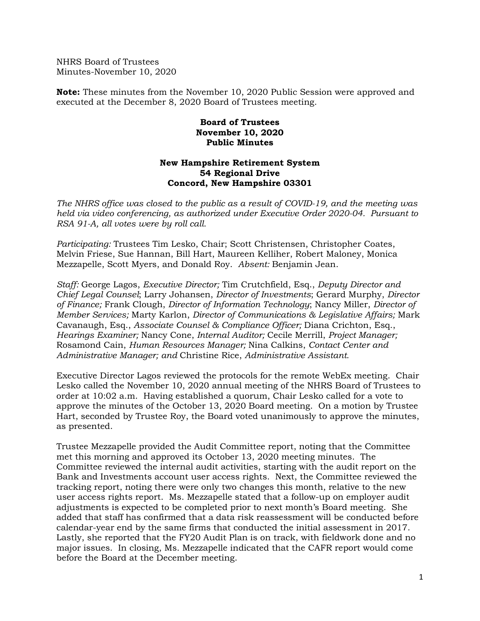NHRS Board of Trustees Minutes-November 10, 2020

**Note:** These minutes from the November 10, 2020 Public Session were approved and executed at the December 8, 2020 Board of Trustees meeting.

## **Board of Trustees November 10, 2020 Public Minutes**

## **New Hampshire Retirement System 54 Regional Drive Concord, New Hampshire 03301**

*The NHRS office was closed to the public as a result of COVID-19, and the meeting was held via video conferencing, as authorized under Executive Order 2020-04. Pursuant to RSA 91-A, all votes were by roll call.*

*Participating:* Trustees Tim Lesko, Chair; Scott Christensen, Christopher Coates, Melvin Friese, Sue Hannan, Bill Hart, Maureen Kelliher, Robert Maloney, Monica Mezzapelle, Scott Myers, and Donald Roy. *Absent:* Benjamin Jean.

*Staff:* George Lagos, *Executive Director;* Tim Crutchfield, Esq., *Deputy Director and Chief Legal Counsel*; Larry Johansen, *Director of Investments*; Gerard Murphy, *Director of Finance;* Frank Clough, *Director of Information Technology*; Nancy Miller, *Director of Member Services;* Marty Karlon, *Director of Communications & Legislative Affairs;* Mark Cavanaugh, Esq., *Associate Counsel & Compliance Officer;* Diana Crichton, Esq., *Hearings Examiner;* Nancy Cone, *Internal Auditor;* Cecile Merrill, *Project Manager;* Rosamond Cain, *Human Resources Manager;* Nina Calkins, *Contact Center and Administrative Manager; and* Christine Rice, *Administrative Assistant.* 

Executive Director Lagos reviewed the protocols for the remote WebEx meeting. Chair Lesko called the November 10, 2020 annual meeting of the NHRS Board of Trustees to order at 10:02 a.m. Having established a quorum, Chair Lesko called for a vote to approve the minutes of the October 13, 2020 Board meeting. On a motion by Trustee Hart, seconded by Trustee Roy, the Board voted unanimously to approve the minutes, as presented.

Trustee Mezzapelle provided the Audit Committee report, noting that the Committee met this morning and approved its October 13, 2020 meeting minutes. The Committee reviewed the internal audit activities, starting with the audit report on the Bank and Investments account user access rights. Next, the Committee reviewed the tracking report, noting there were only two changes this month, relative to the new user access rights report. Ms. Mezzapelle stated that a follow-up on employer audit adjustments is expected to be completed prior to next month's Board meeting. She added that staff has confirmed that a data risk reassessment will be conducted before calendar-year end by the same firms that conducted the initial assessment in 2017. Lastly, she reported that the FY20 Audit Plan is on track, with fieldwork done and no major issues. In closing, Ms. Mezzapelle indicated that the CAFR report would come before the Board at the December meeting.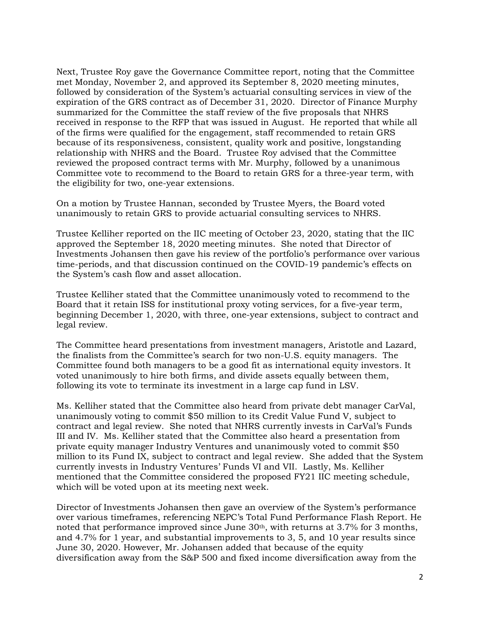Next, Trustee Roy gave the Governance Committee report, noting that the Committee met Monday, November 2, and approved its September 8, 2020 meeting minutes, followed by consideration of the System's actuarial consulting services in view of the expiration of the GRS contract as of December 31, 2020. Director of Finance Murphy summarized for the Committee the staff review of the five proposals that NHRS received in response to the RFP that was issued in August. He reported that while all of the firms were qualified for the engagement, staff recommended to retain GRS because of its responsiveness, consistent, quality work and positive, longstanding relationship with NHRS and the Board. Trustee Roy advised that the Committee reviewed the proposed contract terms with Mr. Murphy, followed by a unanimous Committee vote to recommend to the Board to retain GRS for a three-year term, with the eligibility for two, one-year extensions.

On a motion by Trustee Hannan, seconded by Trustee Myers, the Board voted unanimously to retain GRS to provide actuarial consulting services to NHRS.

Trustee Kelliher reported on the IIC meeting of October 23, 2020, stating that the IIC approved the September 18, 2020 meeting minutes. She noted that Director of Investments Johansen then gave his review of the portfolio's performance over various time-periods, and that discussion continued on the COVID-19 pandemic's effects on the System's cash flow and asset allocation.

Trustee Kelliher stated that the Committee unanimously voted to recommend to the Board that it retain ISS for institutional proxy voting services, for a five-year term, beginning December 1, 2020, with three, one-year extensions, subject to contract and legal review.

The Committee heard presentations from investment managers, Aristotle and Lazard, the finalists from the Committee's search for two non-U.S. equity managers. The Committee found both managers to be a good fit as international equity investors. It voted unanimously to hire both firms, and divide assets equally between them, following its vote to terminate its investment in a large cap fund in LSV.

Ms. Kelliher stated that the Committee also heard from private debt manager CarVal, unanimously voting to commit \$50 million to its Credit Value Fund V, subject to contract and legal review. She noted that NHRS currently invests in CarVal's Funds III and IV. Ms. Kelliher stated that the Committee also heard a presentation from private equity manager Industry Ventures and unanimously voted to commit \$50 million to its Fund IX, subject to contract and legal review. She added that the System currently invests in Industry Ventures' Funds VI and VII. Lastly, Ms. Kelliher mentioned that the Committee considered the proposed FY21 IIC meeting schedule, which will be voted upon at its meeting next week.

Director of Investments Johansen then gave an overview of the System's performance over various timeframes, referencing NEPC's Total Fund Performance Flash Report. He noted that performance improved since June 30th, with returns at 3.7% for 3 months, and 4.7% for 1 year, and substantial improvements to 3, 5, and 10 year results since June 30, 2020. However, Mr. Johansen added that because of the equity diversification away from the S&P 500 and fixed income diversification away from the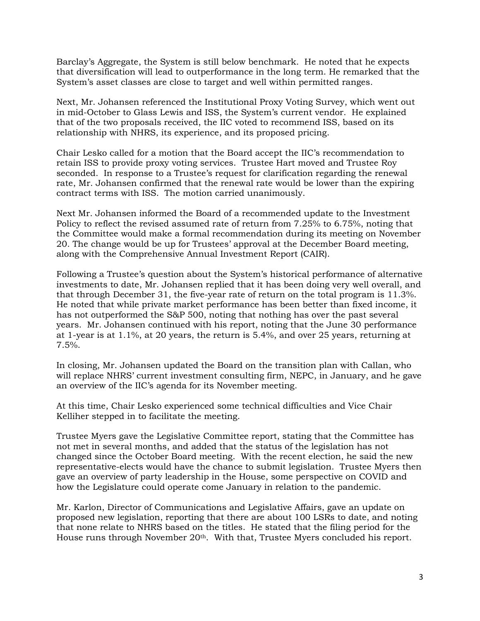Barclay's Aggregate, the System is still below benchmark. He noted that he expects that diversification will lead to outperformance in the long term. He remarked that the System's asset classes are close to target and well within permitted ranges.

Next, Mr. Johansen referenced the Institutional Proxy Voting Survey, which went out in mid-October to Glass Lewis and ISS, the System's current vendor. He explained that of the two proposals received, the IIC voted to recommend ISS, based on its relationship with NHRS, its experience, and its proposed pricing.

Chair Lesko called for a motion that the Board accept the IIC's recommendation to retain ISS to provide proxy voting services. Trustee Hart moved and Trustee Roy seconded. In response to a Trustee's request for clarification regarding the renewal rate, Mr. Johansen confirmed that the renewal rate would be lower than the expiring contract terms with ISS. The motion carried unanimously.

Next Mr. Johansen informed the Board of a recommended update to the Investment Policy to reflect the revised assumed rate of return from 7.25% to 6.75%, noting that the Committee would make a formal recommendation during its meeting on November 20. The change would be up for Trustees' approval at the December Board meeting, along with the Comprehensive Annual Investment Report (CAIR).

Following a Trustee's question about the System's historical performance of alternative investments to date, Mr. Johansen replied that it has been doing very well overall, and that through December 31, the five-year rate of return on the total program is 11.3%. He noted that while private market performance has been better than fixed income, it has not outperformed the S&P 500, noting that nothing has over the past several years. Mr. Johansen continued with his report, noting that the June 30 performance at 1-year is at 1.1%, at 20 years, the return is 5.4%, and over 25 years, returning at 7.5%.

In closing, Mr. Johansen updated the Board on the transition plan with Callan, who will replace NHRS' current investment consulting firm, NEPC, in January, and he gave an overview of the IIC's agenda for its November meeting.

At this time, Chair Lesko experienced some technical difficulties and Vice Chair Kelliher stepped in to facilitate the meeting.

Trustee Myers gave the Legislative Committee report, stating that the Committee has not met in several months, and added that the status of the legislation has not changed since the October Board meeting. With the recent election, he said the new representative-elects would have the chance to submit legislation. Trustee Myers then gave an overview of party leadership in the House, some perspective on COVID and how the Legislature could operate come January in relation to the pandemic.

Mr. Karlon, Director of Communications and Legislative Affairs, gave an update on proposed new legislation, reporting that there are about 100 LSRs to date, and noting that none relate to NHRS based on the titles. He stated that the filing period for the House runs through November 20<sup>th</sup>. With that, Trustee Myers concluded his report.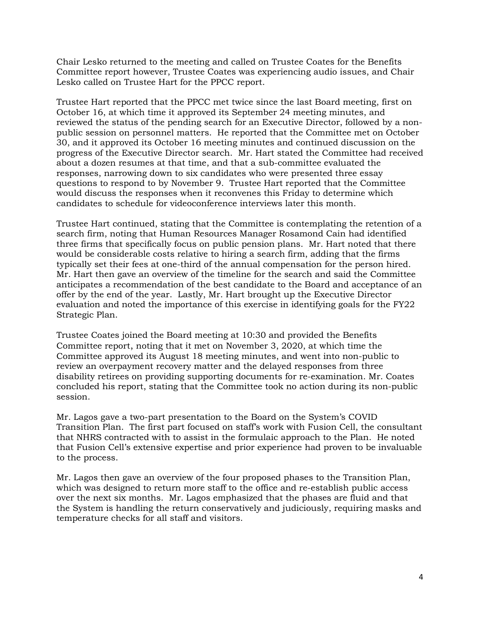Chair Lesko returned to the meeting and called on Trustee Coates for the Benefits Committee report however, Trustee Coates was experiencing audio issues, and Chair Lesko called on Trustee Hart for the PPCC report.

Trustee Hart reported that the PPCC met twice since the last Board meeting, first on October 16, at which time it approved its September 24 meeting minutes, and reviewed the status of the pending search for an Executive Director, followed by a nonpublic session on personnel matters. He reported that the Committee met on October 30, and it approved its October 16 meeting minutes and continued discussion on the progress of the Executive Director search. Mr. Hart stated the Committee had received about a dozen resumes at that time, and that a sub-committee evaluated the responses, narrowing down to six candidates who were presented three essay questions to respond to by November 9. Trustee Hart reported that the Committee would discuss the responses when it reconvenes this Friday to determine which candidates to schedule for videoconference interviews later this month.

Trustee Hart continued, stating that the Committee is contemplating the retention of a search firm, noting that Human Resources Manager Rosamond Cain had identified three firms that specifically focus on public pension plans. Mr. Hart noted that there would be considerable costs relative to hiring a search firm, adding that the firms typically set their fees at one-third of the annual compensation for the person hired. Mr. Hart then gave an overview of the timeline for the search and said the Committee anticipates a recommendation of the best candidate to the Board and acceptance of an offer by the end of the year. Lastly, Mr. Hart brought up the Executive Director evaluation and noted the importance of this exercise in identifying goals for the FY22 Strategic Plan.

Trustee Coates joined the Board meeting at 10:30 and provided the Benefits Committee report, noting that it met on November 3, 2020, at which time the Committee approved its August 18 meeting minutes, and went into non-public to review an overpayment recovery matter and the delayed responses from three disability retirees on providing supporting documents for re-examination. Mr. Coates concluded his report, stating that the Committee took no action during its non-public session.

Mr. Lagos gave a two-part presentation to the Board on the System's COVID Transition Plan. The first part focused on staff's work with Fusion Cell, the consultant that NHRS contracted with to assist in the formulaic approach to the Plan. He noted that Fusion Cell's extensive expertise and prior experience had proven to be invaluable to the process.

Mr. Lagos then gave an overview of the four proposed phases to the Transition Plan, which was designed to return more staff to the office and re-establish public access over the next six months. Mr. Lagos emphasized that the phases are fluid and that the System is handling the return conservatively and judiciously, requiring masks and temperature checks for all staff and visitors.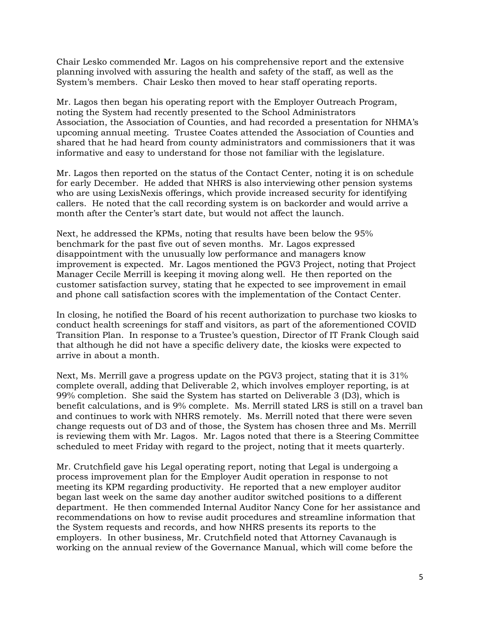Chair Lesko commended Mr. Lagos on his comprehensive report and the extensive planning involved with assuring the health and safety of the staff, as well as the System's members. Chair Lesko then moved to hear staff operating reports.

Mr. Lagos then began his operating report with the Employer Outreach Program, noting the System had recently presented to the School Administrators Association, the Association of Counties, and had recorded a presentation for NHMA's upcoming annual meeting. Trustee Coates attended the Association of Counties and shared that he had heard from county administrators and commissioners that it was informative and easy to understand for those not familiar with the legislature.

Mr. Lagos then reported on the status of the Contact Center, noting it is on schedule for early December. He added that NHRS is also interviewing other pension systems who are using LexisNexis offerings, which provide increased security for identifying callers. He noted that the call recording system is on backorder and would arrive a month after the Center's start date, but would not affect the launch.

Next, he addressed the KPMs, noting that results have been below the 95% benchmark for the past five out of seven months. Mr. Lagos expressed disappointment with the unusually low performance and managers know improvement is expected. Mr. Lagos mentioned the PGV3 Project, noting that Project Manager Cecile Merrill is keeping it moving along well. He then reported on the customer satisfaction survey, stating that he expected to see improvement in email and phone call satisfaction scores with the implementation of the Contact Center.

In closing, he notified the Board of his recent authorization to purchase two kiosks to conduct health screenings for staff and visitors, as part of the aforementioned COVID Transition Plan. In response to a Trustee's question, Director of IT Frank Clough said that although he did not have a specific delivery date, the kiosks were expected to arrive in about a month.

Next, Ms. Merrill gave a progress update on the PGV3 project, stating that it is 31% complete overall, adding that Deliverable 2, which involves employer reporting, is at 99% completion. She said the System has started on Deliverable 3 (D3), which is benefit calculations, and is 9% complete. Ms. Merrill stated LRS is still on a travel ban and continues to work with NHRS remotely. Ms. Merrill noted that there were seven change requests out of D3 and of those, the System has chosen three and Ms. Merrill is reviewing them with Mr. Lagos. Mr. Lagos noted that there is a Steering Committee scheduled to meet Friday with regard to the project, noting that it meets quarterly.

Mr. Crutchfield gave his Legal operating report, noting that Legal is undergoing a process improvement plan for the Employer Audit operation in response to not meeting its KPM regarding productivity. He reported that a new employer auditor began last week on the same day another auditor switched positions to a different department. He then commended Internal Auditor Nancy Cone for her assistance and recommendations on how to revise audit procedures and streamline information that the System requests and records, and how NHRS presents its reports to the employers. In other business, Mr. Crutchfield noted that Attorney Cavanaugh is working on the annual review of the Governance Manual, which will come before the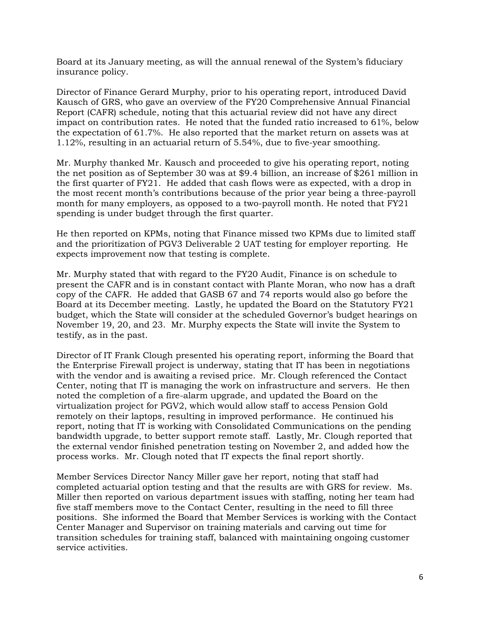Board at its January meeting, as will the annual renewal of the System's fiduciary insurance policy.

Director of Finance Gerard Murphy, prior to his operating report, introduced David Kausch of GRS, who gave an overview of the FY20 Comprehensive Annual Financial Report (CAFR) schedule, noting that this actuarial review did not have any direct impact on contribution rates. He noted that the funded ratio increased to 61%, below the expectation of 61.7%. He also reported that the market return on assets was at 1.12%, resulting in an actuarial return of 5.54%, due to five-year smoothing.

Mr. Murphy thanked Mr. Kausch and proceeded to give his operating report, noting the net position as of September 30 was at \$9.4 billion, an increase of \$261 million in the first quarter of FY21. He added that cash flows were as expected, with a drop in the most recent month's contributions because of the prior year being a three-payroll month for many employers, as opposed to a two-payroll month. He noted that FY21 spending is under budget through the first quarter.

He then reported on KPMs, noting that Finance missed two KPMs due to limited staff and the prioritization of PGV3 Deliverable 2 UAT testing for employer reporting. He expects improvement now that testing is complete.

Mr. Murphy stated that with regard to the FY20 Audit, Finance is on schedule to present the CAFR and is in constant contact with Plante Moran, who now has a draft copy of the CAFR. He added that GASB 67 and 74 reports would also go before the Board at its December meeting. Lastly, he updated the Board on the Statutory FY21 budget, which the State will consider at the scheduled Governor's budget hearings on November 19, 20, and 23. Mr. Murphy expects the State will invite the System to testify, as in the past.

Director of IT Frank Clough presented his operating report, informing the Board that the Enterprise Firewall project is underway, stating that IT has been in negotiations with the vendor and is awaiting a revised price. Mr. Clough referenced the Contact Center, noting that IT is managing the work on infrastructure and servers. He then noted the completion of a fire-alarm upgrade, and updated the Board on the virtualization project for PGV2, which would allow staff to access Pension Gold remotely on their laptops, resulting in improved performance. He continued his report, noting that IT is working with Consolidated Communications on the pending bandwidth upgrade, to better support remote staff. Lastly, Mr. Clough reported that the external vendor finished penetration testing on November 2, and added how the process works. Mr. Clough noted that IT expects the final report shortly.

Member Services Director Nancy Miller gave her report, noting that staff had completed actuarial option testing and that the results are with GRS for review. Ms. Miller then reported on various department issues with staffing, noting her team had five staff members move to the Contact Center, resulting in the need to fill three positions. She informed the Board that Member Services is working with the Contact Center Manager and Supervisor on training materials and carving out time for transition schedules for training staff, balanced with maintaining ongoing customer service activities.